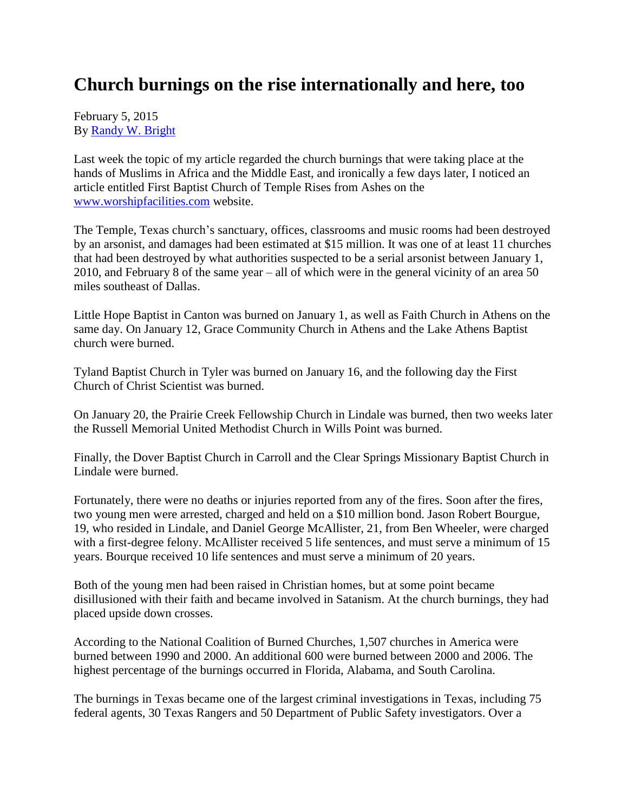## **Church burnings on the rise internationally and here, too**

February 5, 2015 By [Randy W. Bright](http://www.tulsabeacon.com/author/slug-o6yd1v)

Last week the topic of my article regarded the church burnings that were taking place at the hands of Muslims in Africa and the Middle East, and ironically a few days later, I noticed an article entitled First Baptist Church of Temple Rises from Ashes on the [www.worshipfacilities.com](http://www.worshipfacilities.com/) website.

The Temple, Texas church's sanctuary, offices, classrooms and music rooms had been destroyed by an arsonist, and damages had been estimated at \$15 million. It was one of at least 11 churches that had been destroyed by what authorities suspected to be a serial arsonist between January 1, 2010, and February 8 of the same year – all of which were in the general vicinity of an area 50 miles southeast of Dallas.

Little Hope Baptist in Canton was burned on January 1, as well as Faith Church in Athens on the same day. On January 12, Grace Community Church in Athens and the Lake Athens Baptist church were burned.

Tyland Baptist Church in Tyler was burned on January 16, and the following day the First Church of Christ Scientist was burned.

On January 20, the Prairie Creek Fellowship Church in Lindale was burned, then two weeks later the Russell Memorial United Methodist Church in Wills Point was burned.

Finally, the Dover Baptist Church in Carroll and the Clear Springs Missionary Baptist Church in Lindale were burned.

Fortunately, there were no deaths or injuries reported from any of the fires. Soon after the fires, two young men were arrested, charged and held on a \$10 million bond. Jason Robert Bourgue, 19, who resided in Lindale, and Daniel George McAllister, 21, from Ben Wheeler, were charged with a first-degree felony. McAllister received 5 life sentences, and must serve a minimum of 15 years. Bourque received 10 life sentences and must serve a minimum of 20 years.

Both of the young men had been raised in Christian homes, but at some point became disillusioned with their faith and became involved in Satanism. At the church burnings, they had placed upside down crosses.

According to the National Coalition of Burned Churches, 1,507 churches in America were burned between 1990 and 2000. An additional 600 were burned between 2000 and 2006. The highest percentage of the burnings occurred in Florida, Alabama, and South Carolina.

The burnings in Texas became one of the largest criminal investigations in Texas, including 75 federal agents, 30 Texas Rangers and 50 Department of Public Safety investigators. Over a